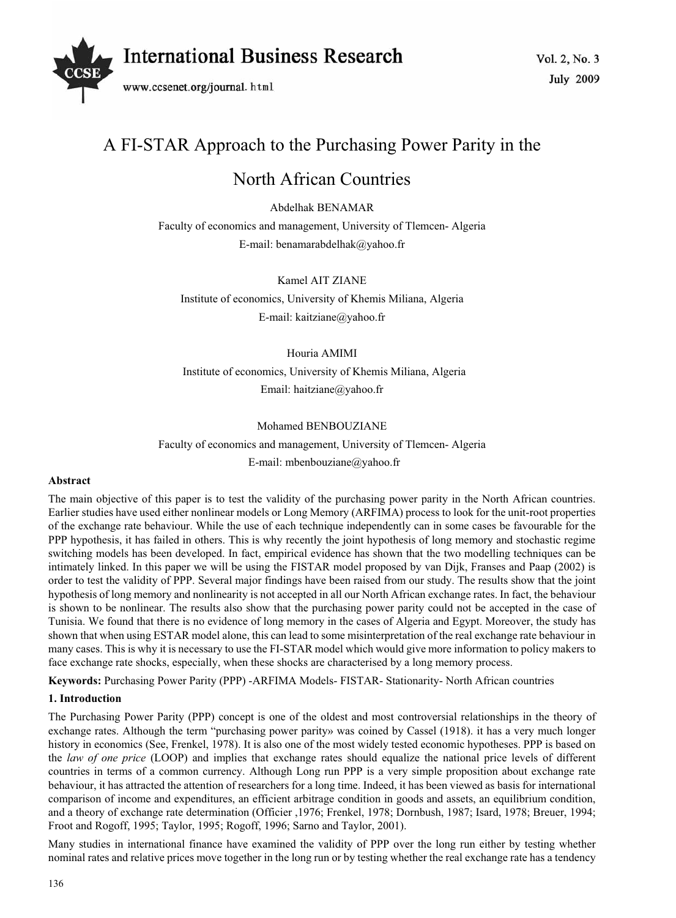

# A FI-STAR Approach to the Purchasing Power Parity in the

# North African Countries

Abdelhak BENAMAR

Faculty of economics and management, University of Tlemcen- Algeria E-mail: benamarabdelhak@yahoo.fr

Kamel AIT ZIANE

Institute of economics, University of Khemis Miliana, Algeria E-mail: kaitziane@yahoo.fr

# Houria AMIMI

 Institute of economics, University of Khemis Miliana, Algeria Email: haitziane@yahoo.fr

## Mohamed BENBOUZIANE

Faculty of economics and management, University of Tlemcen- Algeria E-mail: mbenbouziane@yahoo.fr

## **Abstract**

The main objective of this paper is to test the validity of the purchasing power parity in the North African countries. Earlier studies have used either nonlinear models or Long Memory (ARFIMA) process to look for the unit-root properties of the exchange rate behaviour. While the use of each technique independently can in some cases be favourable for the PPP hypothesis, it has failed in others. This is why recently the joint hypothesis of long memory and stochastic regime switching models has been developed. In fact, empirical evidence has shown that the two modelling techniques can be intimately linked. In this paper we will be using the FISTAR model proposed by van Dijk, Franses and Paap (2002) is order to test the validity of PPP. Several major findings have been raised from our study. The results show that the joint hypothesis of long memory and nonlinearity is not accepted in all our North African exchange rates. In fact, the behaviour is shown to be nonlinear. The results also show that the purchasing power parity could not be accepted in the case of Tunisia. We found that there is no evidence of long memory in the cases of Algeria and Egypt. Moreover, the study has shown that when using ESTAR model alone, this can lead to some misinterpretation of the real exchange rate behaviour in many cases. This is why it is necessary to use the FI-STAR model which would give more information to policy makers to face exchange rate shocks, especially, when these shocks are characterised by a long memory process.

**Keywords:** Purchasing Power Parity (PPP) -ARFIMA Models- FISTAR- Stationarity- North African countries

# **1. Introduction**

The Purchasing Power Parity (PPP) concept is one of the oldest and most controversial relationships in the theory of exchange rates. Although the term "purchasing power parity» was coined by Cassel (1918). it has a very much longer history in economics (See, Frenkel, 1978). It is also one of the most widely tested economic hypotheses. PPP is based on the *law of one price* (LOOP) and implies that exchange rates should equalize the national price levels of different countries in terms of a common currency. Although Long run PPP is a very simple proposition about exchange rate behaviour, it has attracted the attention of researchers for a long time. Indeed, it has been viewed as basis for international comparison of income and expenditures, an efficient arbitrage condition in goods and assets, an equilibrium condition, and a theory of exchange rate determination (Officier ,1976; Frenkel, 1978; Dornbush, 1987; Isard, 1978; Breuer, 1994; Froot and Rogoff, 1995; Taylor, 1995; Rogoff, 1996; Sarno and Taylor, 2001).

Many studies in international finance have examined the validity of PPP over the long run either by testing whether nominal rates and relative prices move together in the long run or by testing whether the real exchange rate has a tendency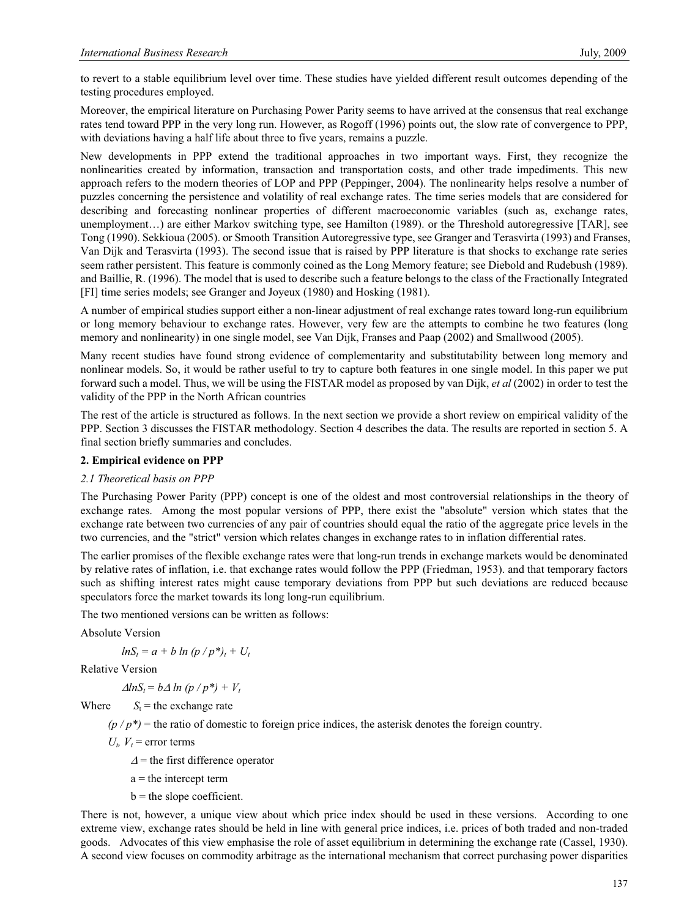to revert to a stable equilibrium level over time. These studies have yielded different result outcomes depending of the testing procedures employed.

Moreover, the empirical literature on Purchasing Power Parity seems to have arrived at the consensus that real exchange rates tend toward PPP in the very long run. However, as Rogoff (1996) points out, the slow rate of convergence to PPP, with deviations having a half life about three to five years, remains a puzzle.

New developments in PPP extend the traditional approaches in two important ways. First, they recognize the nonlinearities created by information, transaction and transportation costs, and other trade impediments. This new approach refers to the modern theories of LOP and PPP (Peppinger, 2004). The nonlinearity helps resolve a number of puzzles concerning the persistence and volatility of real exchange rates. The time series models that are considered for describing and forecasting nonlinear properties of different macroeconomic variables (such as, exchange rates, unemployment…) are either Markov switching type, see Hamilton (1989). or the Threshold autoregressive [TAR], see Tong (1990). Sekkioua (2005). or Smooth Transition Autoregressive type, see Granger and Terasvirta (1993) and Franses, Van Dijk and Terasvirta (1993). The second issue that is raised by PPP literature is that shocks to exchange rate series seem rather persistent. This feature is commonly coined as the Long Memory feature; see Diebold and Rudebush (1989). and Baillie, R. (1996). The model that is used to describe such a feature belongs to the class of the Fractionally Integrated [FI] time series models; see Granger and Joyeux (1980) and Hosking (1981).

A number of empirical studies support either a non-linear adjustment of real exchange rates toward long-run equilibrium or long memory behaviour to exchange rates. However, very few are the attempts to combine he two features (long memory and nonlinearity) in one single model, see Van Dijk, Franses and Paap (2002) and Smallwood (2005).

Many recent studies have found strong evidence of complementarity and substitutability between long memory and nonlinear models. So, it would be rather useful to try to capture both features in one single model. In this paper we put forward such a model. Thus, we will be using the FISTAR model as proposed by van Dijk, *et al* (2002) in order to test the validity of the PPP in the North African countries

The rest of the article is structured as follows. In the next section we provide a short review on empirical validity of the PPP. Section 3 discusses the FISTAR methodology. Section 4 describes the data. The results are reported in section 5. A final section briefly summaries and concludes.

## **2. Empirical evidence on PPP**

## *2.1 Theoretical basis on PPP*

The Purchasing Power Parity (PPP) concept is one of the oldest and most controversial relationships in the theory of exchange rates. Among the most popular versions of PPP, there exist the "absolute" version which states that the exchange rate between two currencies of any pair of countries should equal the ratio of the aggregate price levels in the two currencies, and the "strict" version which relates changes in exchange rates to in inflation differential rates.

The earlier promises of the flexible exchange rates were that long-run trends in exchange markets would be denominated by relative rates of inflation, i.e. that exchange rates would follow the PPP (Friedman, 1953). and that temporary factors such as shifting interest rates might cause temporary deviations from PPP but such deviations are reduced because speculators force the market towards its long long-run equilibrium.

The two mentioned versions can be written as follows:

Absolute Version

 $lnS_t = a + b ln (p / p^*), + U_t$ 

Relative Version

 $\Delta lnS_t = b\Delta ln (p/p^*) + V_t$ 

Where  $S_t$  = the exchange rate

 $(p / p^*)$  = the ratio of domestic to foreign price indices, the asterisk denotes the foreign country.

 $U_t$ ,  $V_t$  = error terms

- $\Delta$  = the first difference operator
- $a =$  the intercept term
- $b =$  the slope coefficient.

There is not, however, a unique view about which price index should be used in these versions. According to one extreme view, exchange rates should be held in line with general price indices, i.e. prices of both traded and non-traded goods. Advocates of this view emphasise the role of asset equilibrium in determining the exchange rate (Cassel, 1930). A second view focuses on commodity arbitrage as the international mechanism that correct purchasing power disparities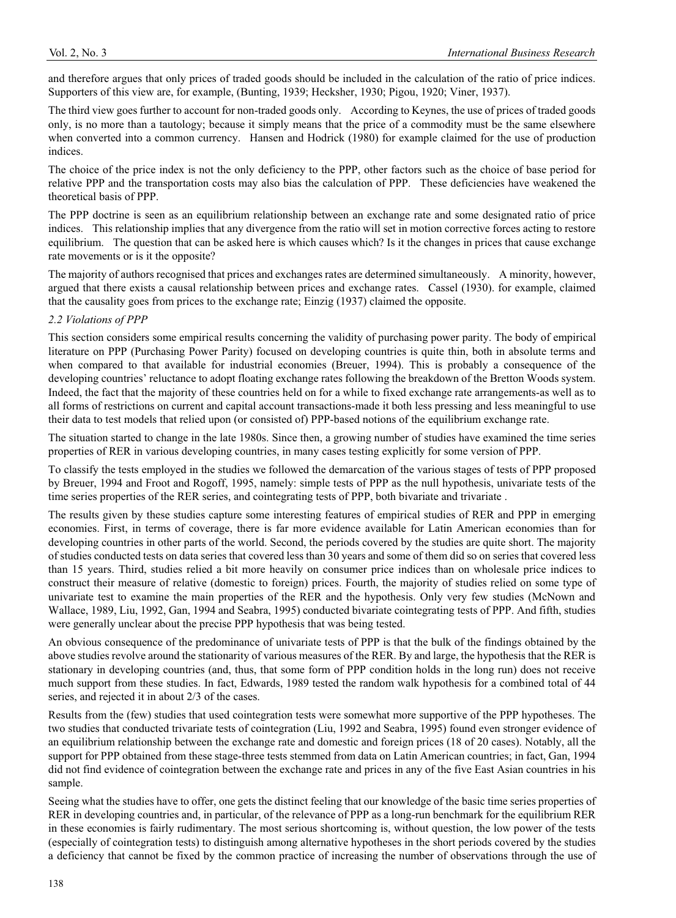and therefore argues that only prices of traded goods should be included in the calculation of the ratio of price indices. Supporters of this view are, for example, (Bunting, 1939; Hecksher, 1930; Pigou, 1920; Viner, 1937).

The third view goes further to account for non-traded goods only. According to Keynes, the use of prices of traded goods only, is no more than a tautology; because it simply means that the price of a commodity must be the same elsewhere when converted into a common currency. Hansen and Hodrick (1980) for example claimed for the use of production indices.

The choice of the price index is not the only deficiency to the PPP, other factors such as the choice of base period for relative PPP and the transportation costs may also bias the calculation of PPP. These deficiencies have weakened the theoretical basis of PPP.

The PPP doctrine is seen as an equilibrium relationship between an exchange rate and some designated ratio of price indices. This relationship implies that any divergence from the ratio will set in motion corrective forces acting to restore equilibrium. The question that can be asked here is which causes which? Is it the changes in prices that cause exchange rate movements or is it the opposite?

The majority of authors recognised that prices and exchanges rates are determined simultaneously. A minority, however, argued that there exists a causal relationship between prices and exchange rates. Cassel (1930). for example, claimed that the causality goes from prices to the exchange rate; Einzig (1937) claimed the opposite.

# *2.2 Violations of PPP*

This section considers some empirical results concerning the validity of purchasing power parity. The body of empirical literature on PPP (Purchasing Power Parity) focused on developing countries is quite thin, both in absolute terms and when compared to that available for industrial economies (Breuer, 1994). This is probably a consequence of the developing countries' reluctance to adopt floating exchange rates following the breakdown of the Bretton Woods system. Indeed, the fact that the majority of these countries held on for a while to fixed exchange rate arrangements-as well as to all forms of restrictions on current and capital account transactions-made it both less pressing and less meaningful to use their data to test models that relied upon (or consisted of) PPP-based notions of the equilibrium exchange rate.

The situation started to change in the late 1980s. Since then, a growing number of studies have examined the time series properties of RER in various developing countries, in many cases testing explicitly for some version of PPP.

To classify the tests employed in the studies we followed the demarcation of the various stages of tests of PPP proposed by Breuer, 1994 and Froot and Rogoff, 1995, namely: simple tests of PPP as the null hypothesis, univariate tests of the time series properties of the RER series, and cointegrating tests of PPP, both bivariate and trivariate .

The results given by these studies capture some interesting features of empirical studies of RER and PPP in emerging economies. First, in terms of coverage, there is far more evidence available for Latin American economies than for developing countries in other parts of the world. Second, the periods covered by the studies are quite short. The majority of studies conducted tests on data series that covered less than 30 years and some of them did so on series that covered less than 15 years. Third, studies relied a bit more heavily on consumer price indices than on wholesale price indices to construct their measure of relative (domestic to foreign) prices. Fourth, the majority of studies relied on some type of univariate test to examine the main properties of the RER and the hypothesis. Only very few studies (McNown and Wallace, 1989, Liu, 1992, Gan, 1994 and Seabra, 1995) conducted bivariate cointegrating tests of PPP. And fifth, studies were generally unclear about the precise PPP hypothesis that was being tested.

An obvious consequence of the predominance of univariate tests of PPP is that the bulk of the findings obtained by the above studies revolve around the stationarity of various measures of the RER. By and large, the hypothesis that the RER is stationary in developing countries (and, thus, that some form of PPP condition holds in the long run) does not receive much support from these studies. In fact, Edwards, 1989 tested the random walk hypothesis for a combined total of 44 series, and rejected it in about 2/3 of the cases.

Results from the (few) studies that used cointegration tests were somewhat more supportive of the PPP hypotheses. The two studies that conducted trivariate tests of cointegration (Liu, 1992 and Seabra, 1995) found even stronger evidence of an equilibrium relationship between the exchange rate and domestic and foreign prices (18 of 20 cases). Notably, all the support for PPP obtained from these stage-three tests stemmed from data on Latin American countries; in fact, Gan, 1994 did not find evidence of cointegration between the exchange rate and prices in any of the five East Asian countries in his sample.

Seeing what the studies have to offer, one gets the distinct feeling that our knowledge of the basic time series properties of RER in developing countries and, in particular, of the relevance of PPP as a long-run benchmark for the equilibrium RER in these economies is fairly rudimentary. The most serious shortcoming is, without question, the low power of the tests (especially of cointegration tests) to distinguish among alternative hypotheses in the short periods covered by the studies a deficiency that cannot be fixed by the common practice of increasing the number of observations through the use of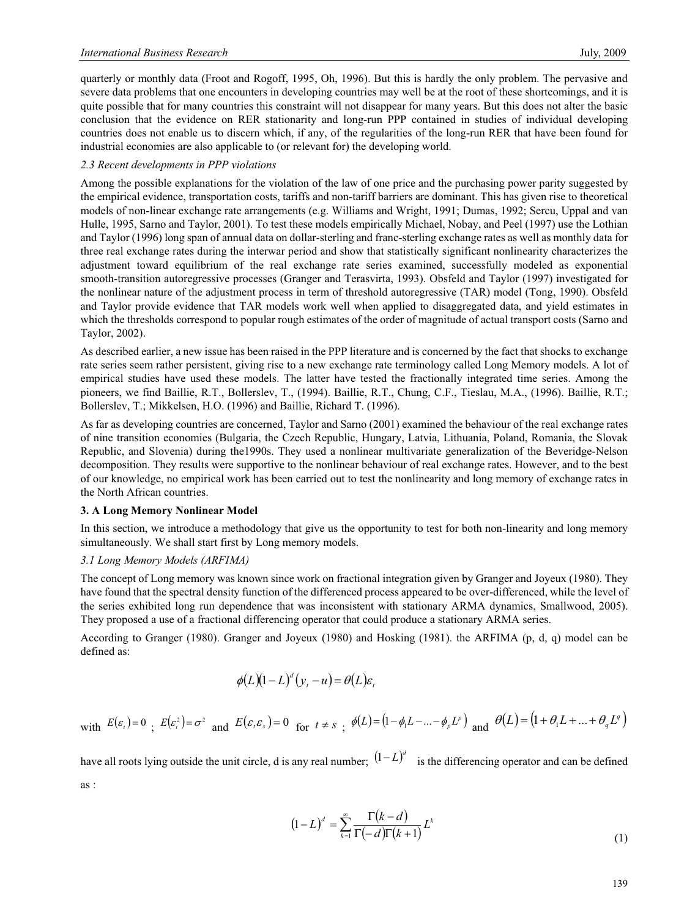quarterly or monthly data (Froot and Rogoff, 1995, Oh, 1996). But this is hardly the only problem. The pervasive and severe data problems that one encounters in developing countries may well be at the root of these shortcomings, and it is quite possible that for many countries this constraint will not disappear for many years. But this does not alter the basic conclusion that the evidence on RER stationarity and long-run PPP contained in studies of individual developing countries does not enable us to discern which, if any, of the regularities of the long-run RER that have been found for industrial economies are also applicable to (or relevant for) the developing world.

## *2.3 Recent developments in PPP violations*

Among the possible explanations for the violation of the law of one price and the purchasing power parity suggested by the empirical evidence, transportation costs, tariffs and non-tariff barriers are dominant. This has given rise to theoretical models of non-linear exchange rate arrangements (e.g. Williams and Wright, 1991; Dumas, 1992; Sercu, Uppal and van Hulle, 1995, Sarno and Taylor, 2001). To test these models empirically Michael, Nobay, and Peel (1997) use the Lothian and Taylor (1996) long span of annual data on dollar-sterling and franc-sterling exchange rates as well as monthly data for three real exchange rates during the interwar period and show that statistically significant nonlinearity characterizes the adjustment toward equilibrium of the real exchange rate series examined, successfully modeled as exponential smooth-transition autoregressive processes (Granger and Terasvirta, 1993). Obsfeld and Taylor (1997) investigated for the nonlinear nature of the adjustment process in term of threshold autoregressive (TAR) model (Tong, 1990). Obsfeld and Taylor provide evidence that TAR models work well when applied to disaggregated data, and yield estimates in which the thresholds correspond to popular rough estimates of the order of magnitude of actual transport costs (Sarno and Taylor, 2002).

As described earlier, a new issue has been raised in the PPP literature and is concerned by the fact that shocks to exchange rate series seem rather persistent, giving rise to a new exchange rate terminology called Long Memory models. A lot of empirical studies have used these models. The latter have tested the fractionally integrated time series. Among the pioneers, we find Baillie, R.T., Bollerslev, T., (1994). Baillie, R.T., Chung, C.F., Tieslau, M.A., (1996). Baillie, R.T.; Bollerslev, T.; Mikkelsen, H.O. (1996) and Baillie, Richard T. (1996).

As far as developing countries are concerned, Taylor and Sarno (2001) examined the behaviour of the real exchange rates of nine transition economies (Bulgaria, the Czech Republic, Hungary, Latvia, Lithuania, Poland, Romania, the Slovak Republic, and Slovenia) during the1990s. They used a nonlinear multivariate generalization of the Beveridge-Nelson decomposition. They results were supportive to the nonlinear behaviour of real exchange rates. However, and to the best of our knowledge, no empirical work has been carried out to test the nonlinearity and long memory of exchange rates in the North African countries.

## **3. A Long Memory Nonlinear Model**

In this section, we introduce a methodology that give us the opportunity to test for both non-linearity and long memory simultaneously. We shall start first by Long memory models.

## *3.1 Long Memory Models (ARFIMA)*

The concept of Long memory was known since work on fractional integration given by Granger and Joyeux (1980). They have found that the spectral density function of the differenced process appeared to be over-differenced, while the level of the series exhibited long run dependence that was inconsistent with stationary ARMA dynamics, Smallwood, 2005). They proposed a use of a fractional differencing operator that could produce a stationary ARMA series.

According to Granger (1980). Granger and Joyeux (1980) and Hosking (1981). the ARFIMA (p, d, q) model can be defined as:

$$
\phi(L)(1-L)^d(y_t-u)=\theta(L)\varepsilon_t
$$

with 
$$
E(\varepsilon_t) = 0
$$
;  $E(\varepsilon_t^2) = \sigma^2$  and  $E(\varepsilon_t \varepsilon_s) = 0$  for  $t \neq s$ ;  $\phi(L) = (1 - \phi_1 L - ... - \phi_p L^p)$  and  $\theta(L) = (1 + \theta_1 L + ... + \theta_q L^q)$ 

have all roots lying outside the unit circle, d is any real number;  $(1 - L)^d$  is the differencing operator and can be defined as :

$$
(1-L)^d = \sum_{k=1}^{\infty} \frac{\Gamma(k-d)}{\Gamma(-d)\Gamma(k+1)} L^k
$$
\n(1)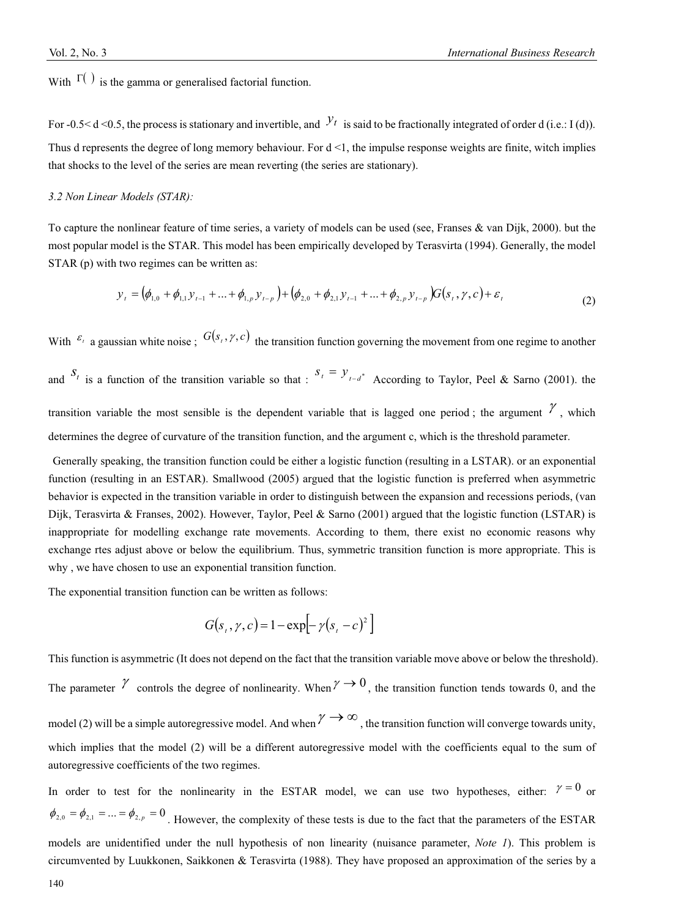With  $\Gamma$  is the gamma or generalised factorial function.

For  $-0.5 < d < 0.5$ , the process is stationary and invertible, and  $\mathcal{Y}_t$  is said to be fractionally integrated of order d (i.e.: I (d)). Thus d represents the degree of long memory behaviour. For  $d \le 1$ , the impulse response weights are finite, witch implies that shocks to the level of the series are mean reverting (the series are stationary).

#### *3.2 Non Linear Models (STAR):*

To capture the nonlinear feature of time series, a variety of models can be used (see, Franses & van Dijk, 2000). but the most popular model is the STAR. This model has been empirically developed by Terasvirta (1994). Generally, the model STAR (p) with two regimes can be written as:

$$
y_{t} = (\phi_{1,0} + \phi_{1,1}y_{t-1} + ... + \phi_{1,p}y_{t-p}) + (\phi_{2,0} + \phi_{2,1}y_{t-1} + ... + \phi_{2,p}y_{t-p})G(s_{t}, \gamma, c) + \varepsilon_{t}
$$
\n(2)

With  $\epsilon_i$  a gaussian white noise;  $G(s_i, \gamma, c)$  the transition function governing the movement from one regime to another and  $S_t$  is a function of the transition variable so that :  $S_t = Y_{t-d^*}$  According to Taylor, Peel & Sarno (2001). the transition variable the most sensible is the dependent variable that is lagged one period; the argument  $\gamma$ , which

determines the degree of curvature of the transition function, and the argument c, which is the threshold parameter.

 Generally speaking, the transition function could be either a logistic function (resulting in a LSTAR). or an exponential function (resulting in an ESTAR). Smallwood (2005) argued that the logistic function is preferred when asymmetric behavior is expected in the transition variable in order to distinguish between the expansion and recessions periods, (van Dijk, Terasvirta & Franses, 2002). However, Taylor, Peel & Sarno (2001) argued that the logistic function (LSTAR) is inappropriate for modelling exchange rate movements. According to them, there exist no economic reasons why exchange rtes adjust above or below the equilibrium. Thus, symmetric transition function is more appropriate. This is why , we have chosen to use an exponential transition function.

The exponential transition function can be written as follows:

$$
G(st, \gamma, c) = 1 - \exp[-\gamma(st - c)2]
$$

This function is asymmetric (It does not depend on the fact that the transition variable move above or below the threshold). The parameter  $\gamma$  controls the degree of nonlinearity. When  $\gamma \to 0$ , the transition function tends towards 0, and the model (2) will be a simple autoregressive model. And when  $\gamma \to \infty$ , the transition function will converge towards unity, which implies that the model (2) will be a different autoregressive model with the coefficients equal to the sum of autoregressive coefficients of the two regimes.

In order to test for the nonlinearity in the ESTAR model, we can use two hypotheses, either:  $\gamma = 0$  or  $\phi_{2,0} = \phi_{2,1} = ... = \phi_{2,p} = 0$ . However, the complexity of these tests is due to the fact that the parameters of the ESTAR models are unidentified under the null hypothesis of non linearity (nuisance parameter, *Note 1*). This problem is circumvented by Luukkonen, Saikkonen & Terasvirta (1988). They have proposed an approximation of the series by a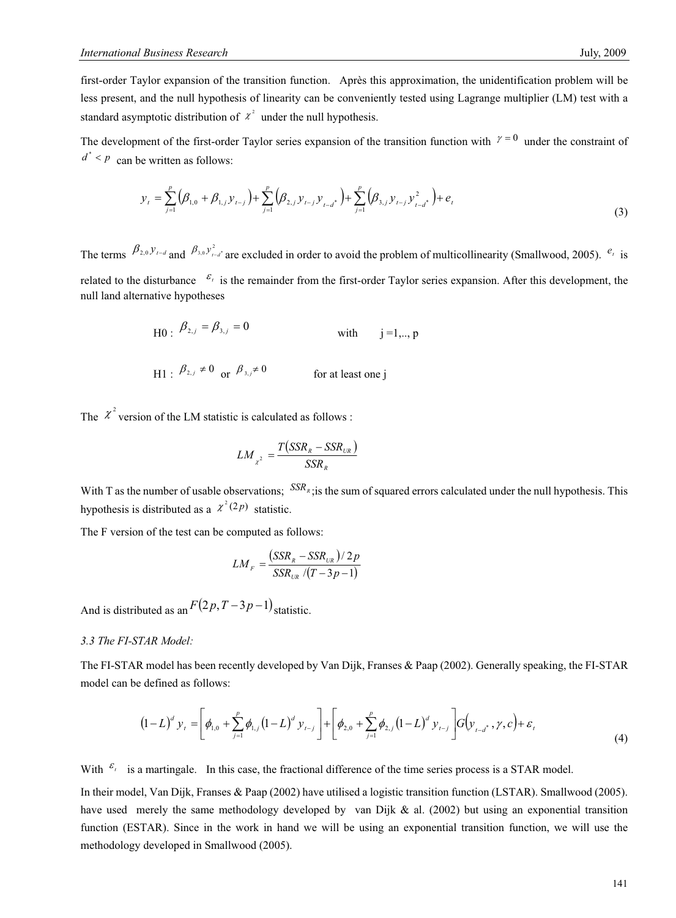first-order Taylor expansion of the transition function. Après this approximation, the unidentification problem will be less present, and the null hypothesis of linearity can be conveniently tested using Lagrange multiplier (LM) test with a standard asymptotic distribution of  $\chi^2$  under the null hypothesis.

The development of the first-order Taylor series expansion of the transition function with  $\gamma = 0$  under the constraint of  $d^*$  < *p* can be written as follows:

$$
y_{t} = \sum_{j=1}^{p} (\beta_{1,0} + \beta_{1,j} y_{t-j}) + \sum_{j=1}^{p} (\beta_{2,j} y_{t-j} y_{t-d}^*) + \sum_{j=1}^{p} (\beta_{3,j} y_{t-j} y_{t-d}^*) + e_{t}
$$
\n(3)

The terms  $\beta_{2,0} y_{t-d}$  and  $\beta_{3,0} y_{t-d}^2$  are excluded in order to avoid the problem of multicollinearity (Smallwood, 2005).  $e_t$  is related to the disturbance  $\epsilon_i$  is the remainder from the first-order Taylor series expansion. After this development, the null land alternative hypotheses

H0: 
$$
\beta_{2,j} = \beta_{3,j} = 0
$$
 with  $j=1,..,p$   
\nH1:  $\beta_{2,j} \neq 0$  or  $\beta_{3,j} \neq 0$  for at least one j

The  $\chi^2$  version of the LM statistic is calculated as follows :

$$
LM_{\chi^2} = \frac{T\left(\text{SSR}_R - \text{SSR}_{UR}\right)}{\text{SSR}_R}
$$

With T as the number of usable observations;  $SSR<sub>R</sub>$ ; is the sum of squared errors calculated under the null hypothesis. This hypothesis is distributed as a  $\chi^2(2p)$  statistic.

The F version of the test can be computed as follows:

$$
LM_F = \frac{(SSR_R - SSR_{UR})/2p}{SSR_{UR}/(T-3p-1)}
$$

And is distributed as an  $F(2p, T-3p-1)$  statistic.

### *3.3 The FI-STAR Model:*

The FI-STAR model has been recently developed by Van Dijk, Franses & Paap (2002). Generally speaking, the FI-STAR model can be defined as follows:

$$
(1-L)^d y_t = \left[ \phi_{1,0} + \sum_{j=1}^p \phi_{1,j} (1-L)^d y_{t-j} \right] + \left[ \phi_{2,0} + \sum_{j=1}^p \phi_{2,j} (1-L)^d y_{t-j} \right] G(y_{t-d^*}, \gamma, c) + \varepsilon_t
$$
\n(4)

With  $\epsilon_t$  is a martingale. In this case, the fractional difference of the time series process is a STAR model.

In their model, Van Dijk, Franses & Paap (2002) have utilised a logistic transition function (LSTAR). Smallwood (2005). have used merely the same methodology developed by van Dijk  $\&$  al. (2002) but using an exponential transition function (ESTAR). Since in the work in hand we will be using an exponential transition function, we will use the methodology developed in Smallwood (2005).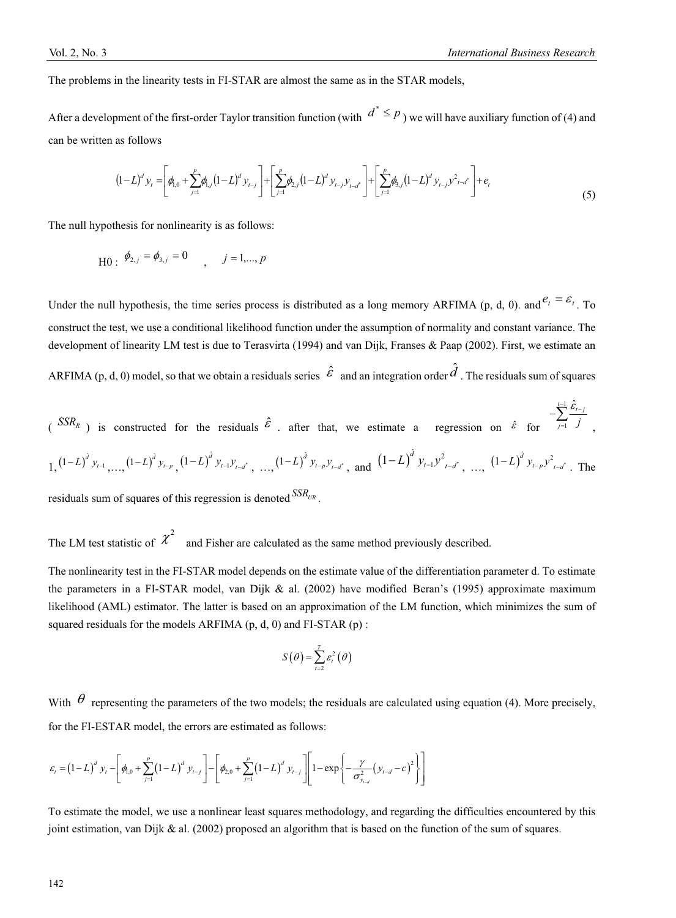The problems in the linearity tests in FI-STAR are almost the same as in the STAR models,

After a development of the first-order Taylor transition function (with  $d^* \leq p$ ) we will have auxiliary function of (4) and can be written as follows

$$
(1-L)^d y_t = \left[\phi_{1,0} + \sum_{j=1}^p \phi_{1,j} (1-L)^d y_{t-j}\right] + \left[\sum_{j=1}^p \phi_{2,j} (1-L)^d y_{t-j} y_{t-d}^* \right] + \left[\sum_{j=1}^p \phi_{3,j} (1-L)^d y_{t-j} y_{t-d}^* \right] + e_t
$$
\n(5)

The null hypothesis for nonlinearity is as follows:

$$
H0: \phi_{2,j} = \phi_{3,j} = 0 \qquad , \qquad j = 1,...,p
$$

Under the null hypothesis, the time series process is distributed as a long memory ARFIMA (p, d, 0). and  $e_t = \varepsilon_t$ . To construct the test, we use a conditional likelihood function under the assumption of normality and constant variance. The development of linearity LM test is due to Terasvirta (1994) and van Dijk, Franses & Paap (2002). First, we estimate an

ARFIMA (p, d, 0) model, so that we obtain a residuals series  $\hat{\mathcal{E}}$  and an integration order  $\hat{d}$  . The residuals sum of squares

$$
\begin{array}{llll}\n\text{(SSR}_R) & \text{is constructed for the residuals } \hat{\mathcal{E}} \text{ . after that, we estimate a regression on } \hat{\mathcal{E}} \text{ for } -\sum_{j=1}^{t-1} \frac{\hat{\mathcal{E}}_{t-j}}{j}, \\
1, \left(1-L\right)^j y_{t-1}, \dots, \left(1-L\right)^j y_{t-p}, \left(1-L\right)^j y_{t-1} y_{t-d}^*, \dots, \left(1-L\right)^j y_{t-p} y_{t-d}^*, \text{ and } \left(1-L\right)^j y_{t-1} y_{t-d}^*, \dots, \left(1-L\right)^j y_{t-p} y_{t-d}^*. \text{ The following inequality:} \end{array}
$$

residuals sum of squares of this regression is denoted  $SSR_{UR}$ .

The LM test statistic of  $\chi^2$  and Fisher are calculated as the same method previously described.

The nonlinearity test in the FI-STAR model depends on the estimate value of the differentiation parameter d. To estimate the parameters in a FI-STAR model, van Dijk & al. (2002) have modified Beran's (1995) approximate maximum likelihood (AML) estimator. The latter is based on an approximation of the LM function, which minimizes the sum of squared residuals for the models ARFIMA (p, d, 0) and FI-STAR (p) :

$$
S(\theta) = \sum_{t=2}^{T} \varepsilon_t^2(\theta)
$$

With  $\theta$  representing the parameters of the two models; the residuals are calculated using equation (4). More precisely, for the FI-ESTAR model, the errors are estimated as follows:

$$
\varepsilon_{t} = (1-L)^{d} y_{t} - \left[ \phi_{1,0} + \sum_{j=1}^{p} (1-L)^{d} y_{t-j} \right] - \left[ \phi_{2,0} + \sum_{j=1}^{p} (1-L)^{d} y_{t-j} \right] \left[ 1 - \exp \left\{ - \frac{\gamma}{\sigma_{y_{t-d}}^{2}} (y_{t-d} - c)^{2} \right\} \right]
$$

To estimate the model, we use a nonlinear least squares methodology, and regarding the difficulties encountered by this joint estimation, van Dijk  $\&$  al. (2002) proposed an algorithm that is based on the function of the sum of squares.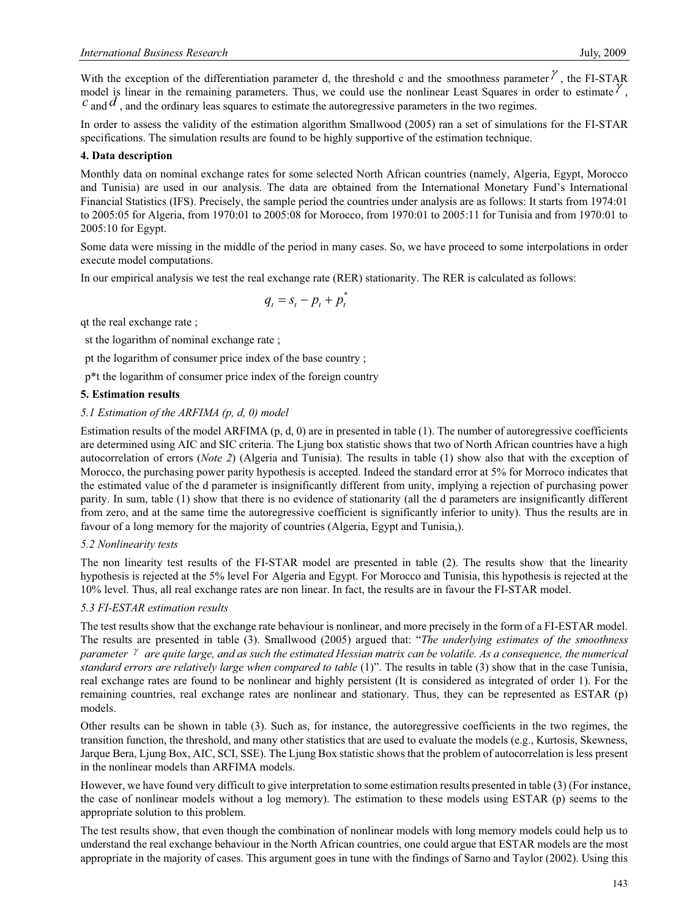With the exception of the differentiation parameter d, the threshold c and the smoothness parameter  $\gamma$ , the FI-STAR model is linear in the remaining parameters. Thus, we could use the nonlinear Least Squares in order to estimate  $\ell$ ,  $c$  and  $d$ , and the ordinary leas squares to estimate the autoregressive parameters in the two regime

In order to assess the validity of the estimation algorithm Smallwood (2005) ran a set of simulations for the FI-STAR specifications. The simulation results are found to be highly supportive of the estimation technique.

# **4. Data description**

Monthly data on nominal exchange rates for some selected North African countries (namely, Algeria, Egypt, Morocco and Tunisia) are used in our analysis. The data are obtained from the International Monetary Fund's International Financial Statistics (IFS). Precisely, the sample period the countries under analysis are as follows: It starts from 1974:01 to 2005:05 for Algeria, from 1970:01 to 2005:08 for Morocco, from 1970:01 to 2005:11 for Tunisia and from 1970:01 to 2005:10 for Egypt.

Some data were missing in the middle of the period in many cases. So, we have proceed to some interpolations in order execute model computations.

In our empirical analysis we test the real exchange rate (RER) stationarity. The RER is calculated as follows:

$$
q_t = s_t - p_t + p_t^*
$$

qt the real exchange rate ;

st the logarithm of nominal exchange rate ;

pt the logarithm of consumer price index of the base country ;

p\*t the logarithm of consumer price index of the foreign country

# **5. Estimation results**

# *5.1 Estimation of the ARFIMA (p, d, 0) model*

Estimation results of the model ARFIMA  $(p, d, 0)$  are in presented in table (1). The number of autoregressive coefficients are determined using AIC and SIC criteria. The Ljung box statistic shows that two of North African countries have a high autocorrelation of errors (*Note 2*) (Algeria and Tunisia). The results in table (1) show also that with the exception of Morocco, the purchasing power parity hypothesis is accepted. Indeed the standard error at 5% for Morroco indicates that the estimated value of the d parameter is insignificantly different from unity, implying a rejection of purchasing power parity. In sum, table (1) show that there is no evidence of stationarity (all the d parameters are insignificantly different from zero, and at the same time the autoregressive coefficient is significantly inferior to unity). Thus the results are in favour of a long memory for the majority of countries (Algeria, Egypt and Tunisia,).

# *5.2 Nonlinearity tests*

The non linearity test results of the FI-STAR model are presented in table (2). The results show that the linearity hypothesis is rejected at the 5% level For Algeria and Egypt. For Morocco and Tunisia, this hypothesis is rejected at the 10% level. Thus, all real exchange rates are non linear. In fact, the results are in favour the FI-STAR model.

# *5.3 FI-ESTAR estimation results*

The test results show that the exchange rate behaviour is nonlinear, and more precisely in the form of a FI-ESTAR model. The results are presented in table (3). Smallwood (2005) argued that: "*The underlying estimates of the smoothness parameter*  $\gamma$  are quite large, and as such the estimated Hessian matrix can be volatile. As a consequence, the numerical *standard errors are relatively large when compared to table* (1)". The results in table (3) show that in the case Tunisia, real exchange rates are found to be nonlinear and highly persistent (It is considered as integrated of order 1). For the remaining countries, real exchange rates are nonlinear and stationary. Thus, they can be represented as ESTAR (p) models.

Other results can be shown in table (3). Such as, for instance, the autoregressive coefficients in the two regimes, the transition function, the threshold, and many other statistics that are used to evaluate the models (e.g., Kurtosis, Skewness, Jarque Bera, Ljung Box, AIC, SCI, SSE). The Ljung Box statistic shows that the problem of autocorrelation is less present in the nonlinear models than ARFIMA models.

However, we have found very difficult to give interpretation to some estimation results presented in table (3) (For instance, the case of nonlinear models without a log memory). The estimation to these models using ESTAR (p) seems to the appropriate solution to this problem.

The test results show, that even though the combination of nonlinear models with long memory models could help us to understand the real exchange behaviour in the North African countries, one could argue that ESTAR models are the most appropriate in the majority of cases. This argument goes in tune with the findings of Sarno and Taylor (2002). Using this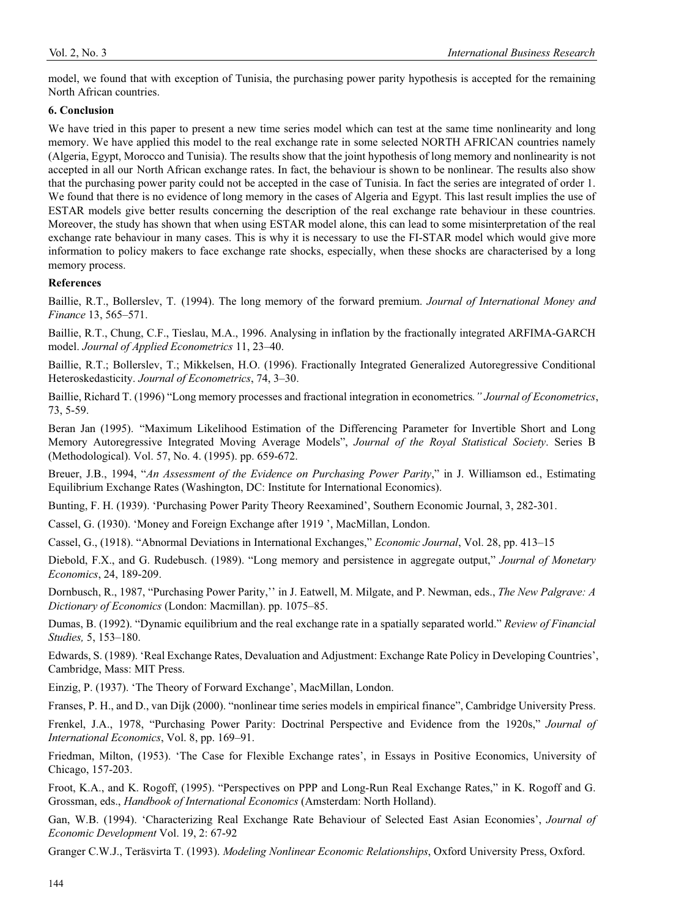model, we found that with exception of Tunisia, the purchasing power parity hypothesis is accepted for the remaining North African countries.

## **6. Conclusion**

We have tried in this paper to present a new time series model which can test at the same time nonlinearity and long memory. We have applied this model to the real exchange rate in some selected NORTH AFRICAN countries namely (Algeria, Egypt, Morocco and Tunisia). The results show that the joint hypothesis of long memory and nonlinearity is not accepted in all our North African exchange rates. In fact, the behaviour is shown to be nonlinear. The results also show that the purchasing power parity could not be accepted in the case of Tunisia. In fact the series are integrated of order 1. We found that there is no evidence of long memory in the cases of Algeria and Egypt. This last result implies the use of ESTAR models give better results concerning the description of the real exchange rate behaviour in these countries. Moreover, the study has shown that when using ESTAR model alone, this can lead to some misinterpretation of the real exchange rate behaviour in many cases. This is why it is necessary to use the FI-STAR model which would give more information to policy makers to face exchange rate shocks, especially, when these shocks are characterised by a long memory process.

## **References**

Baillie, R.T., Bollerslev, T. (1994). The long memory of the forward premium. *Journal of International Money and Finance* 13, 565–571.

Baillie, R.T., Chung, C.F., Tieslau, M.A., 1996. Analysing in inflation by the fractionally integrated ARFIMA-GARCH model. *Journal of Applied Econometrics* 11, 23–40.

Baillie, R.T.; Bollerslev, T.; Mikkelsen, H.O. (1996). Fractionally Integrated Generalized Autoregressive Conditional Heteroskedasticity. *Journal of Econometrics*, 74, 3–30.

Baillie, Richard T. (1996) "Long memory processes and fractional integration in econometrics*." Journal of Econometrics*, 73, 5-59.

Beran Jan (1995). "Maximum Likelihood Estimation of the Differencing Parameter for Invertible Short and Long Memory Autoregressive Integrated Moving Average Models", *Journal of the Royal Statistical Society*. Series B (Methodological). Vol. 57, No. 4. (1995). pp. 659-672.

Breuer, J.B., 1994, "*An Assessment of the Evidence on Purchasing Power Parity*," in J. Williamson ed., Estimating Equilibrium Exchange Rates (Washington, DC: Institute for International Economics).

Bunting, F. H. (1939). 'Purchasing Power Parity Theory Reexamined', Southern Economic Journal, 3, 282-301.

Cassel, G. (1930). 'Money and Foreign Exchange after 1919 ', MacMillan, London.

Cassel, G., (1918). "Abnormal Deviations in International Exchanges," *Economic Journal*, Vol. 28, pp. 413–15

Diebold, F.X., and G. Rudebusch. (1989). "Long memory and persistence in aggregate output," *Journal of Monetary Economics*, 24, 189-209.

Dornbusch, R., 1987, "Purchasing Power Parity,'' in J. Eatwell, M. Milgate, and P. Newman, eds., *The New Palgrave: A Dictionary of Economics* (London: Macmillan). pp. 1075–85.

Dumas, B. (1992). "Dynamic equilibrium and the real exchange rate in a spatially separated world." *Review of Financial Studies,* 5, 153–180.

Edwards, S. (1989). 'Real Exchange Rates, Devaluation and Adjustment: Exchange Rate Policy in Developing Countries', Cambridge, Mass: MIT Press.

Einzig, P. (1937). 'The Theory of Forward Exchange', MacMillan, London.

Franses, P. H., and D., van Dijk (2000). "nonlinear time series models in empirical finance", Cambridge University Press.

Frenkel, J.A., 1978, "Purchasing Power Parity: Doctrinal Perspective and Evidence from the 1920s," *Journal of International Economics*, Vol. 8, pp. 169–91.

Friedman, Milton, (1953). 'The Case for Flexible Exchange rates', in Essays in Positive Economics, University of Chicago, 157-203.

Froot, K.A., and K. Rogoff, (1995). "Perspectives on PPP and Long-Run Real Exchange Rates," in K. Rogoff and G. Grossman, eds., *Handbook of International Economics* (Amsterdam: North Holland).

Gan, W.B. (1994). 'Characterizing Real Exchange Rate Behaviour of Selected East Asian Economies', *Journal of Economic Development* Vol. 19, 2: 67-92

Granger C.W.J., Teräsvirta T. (1993). *Modeling Nonlinear Economic Relationships*, Oxford University Press, Oxford.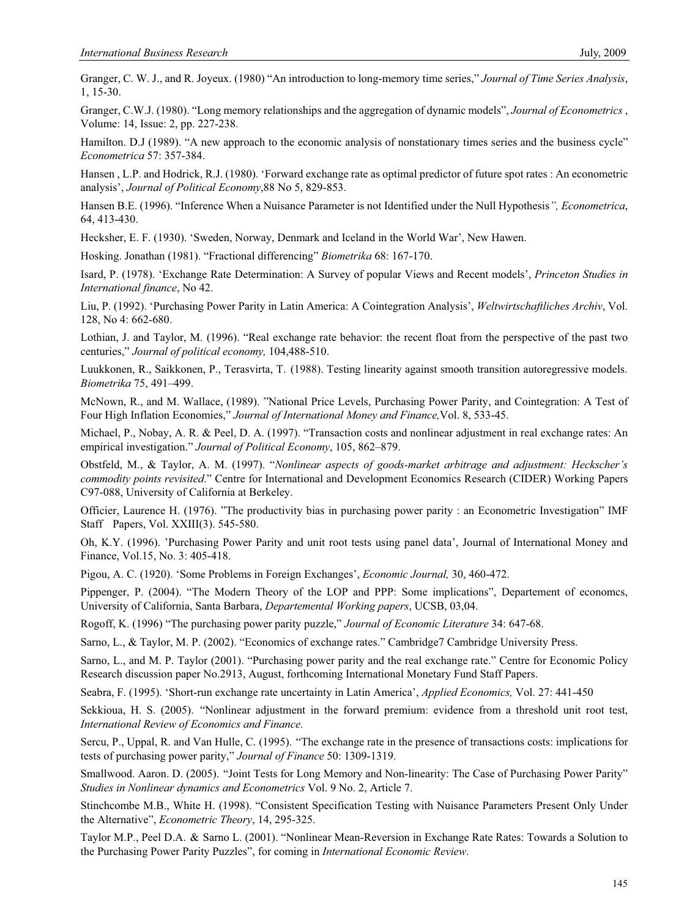Granger, C. W. J., and R. Joyeux. (1980) "An introduction to long-memory time series," *Journal of Time Series Analysis*, 1, 15-30.

Granger, C.W.J. (1980). "Long memory relationships and the aggregation of dynamic models", *Journal of Econometrics* , Volume: 14, Issue: 2, pp. 227-238.

Hamilton. D.J (1989). "A new approach to the economic analysis of nonstationary times series and the business cycle" *Econometrica* 57: 357-384.

Hansen , L.P. and Hodrick, R.J. (1980). 'Forward exchange rate as optimal predictor of future spot rates : An econometric analysis', *Journal of Political Economy*,88 No 5, 829-853.

Hansen B.E. (1996). "Inference When a Nuisance Parameter is not Identified under the Null Hypothesis*", Econometrica*, 64, 413-430.

Hecksher, E. F. (1930). 'Sweden, Norway, Denmark and Iceland in the World War', New Hawen.

Hosking. Jonathan (1981). "Fractional differencing" *Biometrika* 68: 167-170.

Isard, P. (1978). 'Exchange Rate Determination: A Survey of popular Views and Recent models', *Princeton Studies in International finance*, No 42.

Liu, P. (1992). 'Purchasing Power Parity in Latin America: A Cointegration Analysis', *Weltwirtschaftliches Archiv*, Vol. 128, No 4: 662-680.

Lothian, J. and Taylor, M. (1996). "Real exchange rate behavior: the recent float from the perspective of the past two centuries," *Journal of political economy,* 104,488-510.

Luukkonen, R., Saikkonen, P., Terasvirta, T. (1988). Testing linearity against smooth transition autoregressive models. *Biometrika* 75, 491–499.

McNown, R., and M. Wallace, (1989). "National Price Levels, Purchasing Power Parity, and Cointegration: A Test of Four High Inflation Economies," *Journal of International Money and Finance,*Vol. 8, 533-45.

Michael, P., Nobay, A. R. & Peel, D. A. (1997). "Transaction costs and nonlinear adjustment in real exchange rates: An empirical investigation." *Journal of Political Economy*, 105, 862–879.

Obstfeld, M., & Taylor, A. M. (1997). "*Nonlinear aspects of goods-market arbitrage and adjustment: Heckscher's commodity points revisited*." Centre for International and Development Economics Research (CIDER) Working Papers C97-088, University of California at Berkeley.

Officier, Laurence H. (1976). "The productivity bias in purchasing power parity : an Econometric Investigation" IMF Staff Papers, Vol. XXIII(3). 545-580.

Oh, K.Y. (1996). 'Purchasing Power Parity and unit root tests using panel data', Journal of International Money and Finance, Vol.15, No. 3: 405-418.

Pigou, A. C. (1920). 'Some Problems in Foreign Exchanges', *Economic Journal,* 30, 460-472.

Pippenger, P. (2004). "The Modern Theory of the LOP and PPP: Some implications", Departement of economcs, University of California, Santa Barbara, *Departemental Working papers*, UCSB, 03,04.

Rogoff, K. (1996) "The purchasing power parity puzzle," *Journal of Economic Literature* 34: 647-68.

Sarno, L., & Taylor, M. P. (2002). "Economics of exchange rates." Cambridge7 Cambridge University Press.

Sarno, L., and M. P. Taylor (2001). "Purchasing power parity and the real exchange rate." Centre for Economic Policy Research discussion paper No.2913, August, forthcoming International Monetary Fund Staff Papers.

Seabra, F. (1995). 'Short-run exchange rate uncertainty in Latin America', *Applied Economics,* Vol. 27: 441-450

Sekkioua, H. S. (2005). "Nonlinear adjustment in the forward premium: evidence from a threshold unit root test, *International Review of Economics and Finance.*

Sercu, P., Uppal, R. and Van Hulle, C. (1995). "The exchange rate in the presence of transactions costs: implications for tests of purchasing power parity," *Journal of Finance* 50: 1309-1319.

Smallwood. Aaron. D. (2005). "Joint Tests for Long Memory and Non-linearity: The Case of Purchasing Power Parity" *Studies in Nonlinear dynamics and Econometrics* Vol. 9 No. 2, Article 7.

Stinchcombe M.B., White H. (1998). "Consistent Specification Testing with Nuisance Parameters Present Only Under the Alternative", *Econometric Theory*, 14, 295-325.

Taylor M.P., Peel D.A. & Sarno L. (2001). "Nonlinear Mean-Reversion in Exchange Rate Rates: Towards a Solution to the Purchasing Power Parity Puzzles", for coming in *International Economic Review*.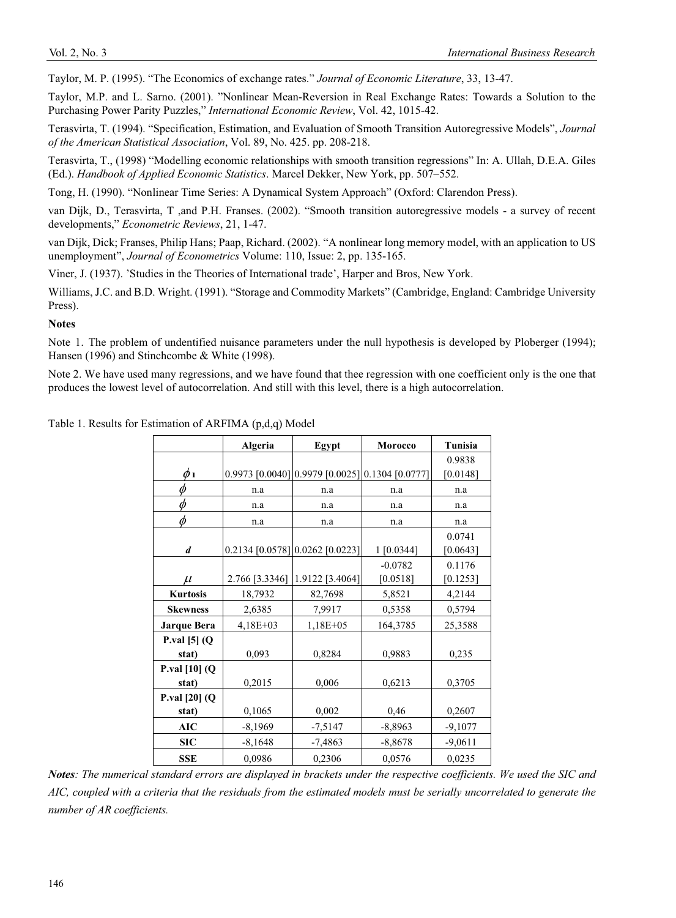Taylor, M. P. (1995). "The Economics of exchange rates." *Journal of Economic Literature*, 33, 13-47.

Taylor, M.P. and L. Sarno. (2001). "Nonlinear Mean-Reversion in Real Exchange Rates: Towards a Solution to the Purchasing Power Parity Puzzles," *International Economic Review*, Vol. 42, 1015-42.

Terasvirta, T. (1994). "Specification, Estimation, and Evaluation of Smooth Transition Autoregressive Models", *Journal of the American Statistical Association*, Vol. 89, No. 425. pp. 208-218.

Terasvirta, T., (1998) "Modelling economic relationships with smooth transition regressions" In: A. Ullah, D.E.A. Giles (Ed.). *Handbook of Applied Economic Statistics*. Marcel Dekker, New York, pp. 507–552.

Tong, H. (1990). "Nonlinear Time Series: A Dynamical System Approach" (Oxford: Clarendon Press).

van Dijk, D., Terasvirta, T ,and P.H. Franses. (2002). "Smooth transition autoregressive models - a survey of recent developments," *Econometric Reviews*, 21, 1-47.

van Dijk, Dick; Franses, Philip Hans; Paap, Richard. (2002). "A nonlinear long memory model, with an application to US unemployment", *Journal of Econometrics* Volume: 110, Issue: 2, pp. 135-165.

Viner, J. (1937). 'Studies in the Theories of International trade', Harper and Bros, New York.

Williams, J.C. and B.D. Wright. (1991). "Storage and Commodity Markets" (Cambridge, England: Cambridge University Press).

## **Notes**

Note 1. The problem of undentified nuisance parameters under the null hypothesis is developed by Ploberger (1994); Hansen (1996) and Stinchcombe & White (1998).

Note 2. We have used many regressions, and we have found that thee regression with one coefficient only is the one that produces the lowest level of autocorrelation. And still with this level, there is a high autocorrelation.

| Table 1. Results for Estimation of ARFIMA (p,d,q) Model |  |
|---------------------------------------------------------|--|
|---------------------------------------------------------|--|

|                           | Algeria        | Egypt                                           | <b>Morocco</b> | Tunisia   |
|---------------------------|----------------|-------------------------------------------------|----------------|-----------|
|                           |                |                                                 |                | 0.9838    |
| Øι                        |                | 0.9973 [0.0040] 0.9979 [0.0025] 0.1304 [0.0777] |                | [0.0148]  |
| Ø                         | n.a            | n.a                                             | n.a            | n.a       |
|                           | n.a            | n.a                                             | n.a            | n.a       |
| Ø                         | n.a            | n.a                                             | n.a            | n.a       |
|                           |                |                                                 |                | 0.0741    |
| d                         |                | 0.2134 [0.0578] 0.0262 [0.0223]                 | 1 [0.0344]     | [0.0643]  |
|                           |                |                                                 | $-0.0782$      | 0.1176    |
| $\mu$                     | 2.766 [3.3346] | 1.9122 [3.4064]                                 | [0.0518]       | [0.1253]  |
| <b>Kurtosis</b>           | 18,7932        | 82,7698                                         | 5,8521         | 4,2144    |
| <b>Skewness</b>           | 2,6385         | 7,9917                                          | 0,5358         | 0,5794    |
| <b>Jarque Bera</b>        | $4,18E+03$     | $1,18E+05$                                      | 164,3785       | 25,3588   |
| P.val $[5]$ (Q            |                |                                                 |                |           |
| stat)                     | 0,093          | 0,8284                                          | 0,9883         | 0,235     |
| <b>P.val</b> $[10]$ $(Q)$ |                |                                                 |                |           |
| stat)                     | 0,2015         | 0,006                                           | 0,6213         | 0,3705    |
| P.val [20] (Q             |                |                                                 |                |           |
| stat)                     | 0,1065         | 0,002                                           | 0,46           | 0,2607    |
| AIC                       | $-8,1969$      | $-7,5147$                                       | $-8,8963$      | $-9,1077$ |
| SIC                       | $-8,1648$      | $-7,4863$                                       | $-8,8678$      | $-9,0611$ |
| <b>SSE</b>                | 0,0986         | 0,2306                                          | 0,0576         | 0,0235    |

*Notes: The numerical standard errors are displayed in brackets under the respective coefficients. We used the SIC and AIC, coupled with a criteria that the residuals from the estimated models must be serially uncorrelated to generate the number of AR coefficients.*